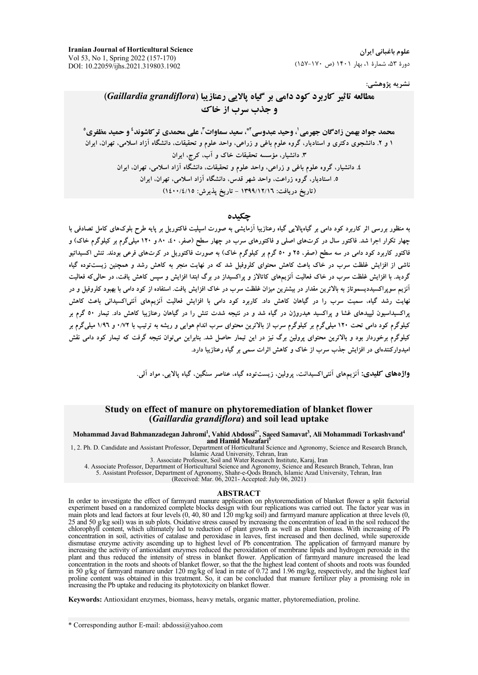**Iranian Journal of Horticultural Science** Vol 53, No 1, Spring 2022 (157-170) DOI: 10.22059/ijhs.2021.319803.1902

علوم باغیانی ایران دورهٔ ۵۳، شمارهٔ ۱، بهار ۱۴۰۱ (ص ۱۷۰-۱۵۷)

نشريه پژوهشي:

# مطالعه تاثیر کاربرد کود دامی بر گیاه یالایی رعنازیبا (Gaillardia grandiflora) **و جذب سرب از خاک**

محمد جواد بهمن زادگان جهرمي <sup>ل</sup>، وحيد عبدوسي ِّ\*، سعيد سماوات ّ، علي محمدي تر كاشوند ٔ و حميد مظفري ْ ۱ و ۲. دانشجوی دکتری و استادیار، گروه علوم باغی و زراعی، واحد علوم و تحقیقات، دانشگاه آزاد اسلامی، تهران، ایران ۳. دانشیار، مؤسسه تحقیقات خاک و آب، کرج، ایران ٤. دانشیار، گروه علوم باغی و زراعی، واحد علوم و تحقیقات، دانشگاه آزاد اسلامی، تهران، ایران ۵. استادیار، گروه زراعت، واحد شهر قدس، دانشگاه آزاد اسلامی، تهران، ایران (تاريخ دريافت: ١٣٩٩/١٢/١٦ - تاريخ يذيرش: ١٤٠٠/٤/١٥)

#### چکیده

به منظور بررسی اثر کاربرد کود دامی بر گیاهپالایی گیاه رعنازیبا آزمایشی به صورت اسپلیت فاکتوریل بر پایه طرح بلوکهای کامل تصادفی با چهار تکرار اجرا شد. فاکتور سال در کرتهای اصلی و فاکتورهای سرب در چهار سطح (صفر، ۵۰، ۸۰ و ۱۲۰ میلیگرم بر کیلوگرم خاک) و فاکتور کاربرد کود دامی در سه سطح (صفر، ۲۵ و ۵۰ گرم بر کیلوگرم خاک) به صورت فاکتوریل در کرتهای فرعی بودند. تنش اکسیداتیو ناشی از افزایش غلظت سرب در خاک باعث کاهش محتوای کلروفیل شد که در نهایت منجر به کاهش رشد و همچنین زیستتوده گیاه گردید. با افزایش غلظت سرب در خاک فعالیت آنزیمهای کاتالاز و براکسیداز در برگ ایندا افزایش و سپس کاهش یافت، در حالی که فعالیت .<br>آنزیم سویراکسیددیسموتاز به بالاترین مقدار در بیشترین میزان غلظت سرب در خاک افزایش یافت. استفاده از کود دامی با بهبود کلروفیل و در .<br>نهایت رشد گیاه، سمیت سرب را در گیاهان کاهش داد. کاربرد کود دام<sub>ی</sub> با افزایش فعالیت آنزیمهای آنتی/کسیدانی باعث کاهش براکسیداسیون لیپیدهای غشا و براکسید هیدروژن در گیاه شد و در نتیجه شدت تنش را در گیاهان رعنازیبا کاهش داد. تیمار ٥٠ گرم بر کیلوگرم کود دامی تحت ۱۲۰ میلیگرم بر کیلوگرم سرب از بالاترین محتوای سرب اندام هوایی و ریشه به ترتیب با ۰/۷۲ و ۱/۹٦ میلیگرم بر کیلوگرم برخوردار بود و بالاترین محتوای پرولین برگ نیز در این تیمار حاصل شد. بنابراین میتوان نتیجه گرفت که تیمار کود دامی نقش امیدوارکنندهای در افزایش جذب سرب از خاک و کاهش اثرات سمی بر گیاه رعنازیبا دارد.

.<br>واژههای کلیدی: آنزیمهای آنتی اکسیدانت، پرولین، زیست توده گیاه، عناصر سنگین، گیاه پالایی، مواد آلی.

#### Study on effect of manure on phytoremediation of blanket flower (Gaillardia grandiflora) and soil lead uptake

Mohammad Javad Bahmanzadegan Jahromi<sup>1</sup>, Vahid Abdossi<sup>2\*</sup>, Saeed Samavat<sup>3</sup>, Ali Mohammadi Torkashvand<sup>4</sup> and Hamid Mozafari<sup>4</sup>

1, 2. Ph. D. Candidate and Assistant Professor, Department of Horticultural Science and Agronomy, Science and Research Branch, 11 SIS and University, Tehran, Iran<br>3. Associate Professor, Soil and Water Research Institute, Karaj, Iran<br>3. Associate Professor, Soil and Water Research Institute, Karaj, Iran

4. Associate Professor, Department of Horticultural Science and Agronomy, Science and Research Branch, Tehran, Iran 5. Assistant Professor, Department of Agronomy, Shahr-e-Qods Branch, Islamic Azad University, Tehran, Iran

**ABSTRACT** In order to investigate the effect of farmyard manure application on phytoremediation of blanket flower a split factorial experiment based on a randomized complete blocks design with four replications was carried out. The factor year was in main plots and lead factors at four levels (0, 40, 80 and 120 mg/kg soil) and farmyard manure applicati 25 and 50  $g$ /kg soil) was in sub plots. Oxidative stress caused by increasing the concentration of lead in the soil reduced the chlorophyll content, which ultimately led to reduction of plant growth as well as plant biomass. With increasing of Pb concentration in soil, activities of catalase and peroxidase in leaves, first increased and then declined, while superoxide dismutase enzyme activity ascending up to highest level of Pb concentration. The application of fa increasing the activity of antioxidant enzymes reduced the peroxidation of membrane lipids and hydrogen peroxide in the plant and thus reduced the intensity of stress in blanket flower. Application of farmyard manure incre concentration in the roots and shoots of blanket flower, so that the the highest lead content of shoots and roots was founded<br>in 50 g/kg of farmyard manure under 120 mg/kg of lead in rate of 0.72 and 1.96 mg/kg, respective increasing the Pb uptake and reducing its phytotoxicity on blanket flower.

Keywords: Antioxidant enzymes, biomass, heavy metals, organic matter, phytoremediation, proline.

<sup>\*</sup> Corresponding author E-mail: abdossi@yahoo.com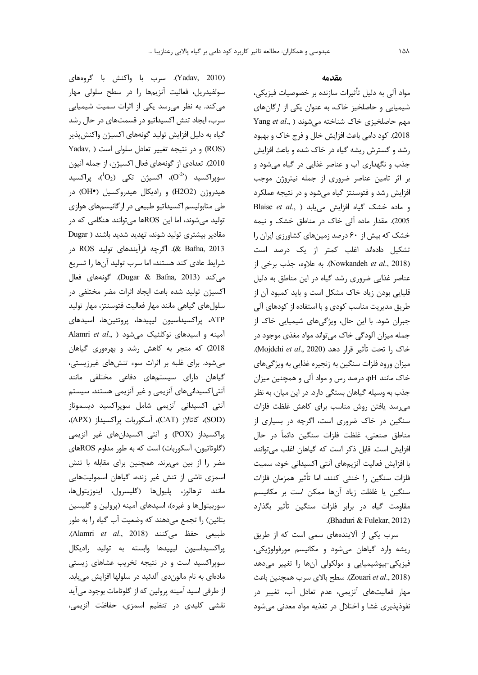(Yadav, 2010). سرب با واكنش با گروههاى سولفيدريل، فعاليت آنزيمها را در سطح سلولي مهار میکند. به نظر میرسد یکی از اثرات سمیت شیمیایی سرب، ایجاد تنش اکسیداتیو در قسمتهای در حال رشد گیاه به دلیل افزایش تولید گونههای اکسیژن واکنشپذیر Yadav, ) و در نتيجه تغيير تعادل سلولى است ( Yadav, 2010). تعدادي از گونههاي فعال اكسيژن، از جمله آنيون سوپراکسید (<sup>2-</sup>0)، اکسیژن تک<sub>ی</sub> (0<sub>2</sub><sup>1</sup>)، پراکسید هیدروژن (H2O2) و رادیکال هیدروکسیل (OH•) در طی متابولیسم اکسیداتیو طبیعی در ارگانیسمهای هوازی تولید میشوند، اما این ROSها میتوانند هنگامی که در مقادیر بیشتری تولید شوند، تهدید شدید باشند ( Dugar ROS (#+' B204)= !e), ( . & Bafna, 2013 شرايط عادي كند هستند، اما سرب توليد آنها را تسريع ^"= B!8+, .( Dugar & Bafna, 2013) 2\*% اکسیژن تولید شده باعث ایجاد اثرات مضر مختلفی در سلول های گیاهی مانند مهار فعالیت فتوسنتز، مهار تولید ATP، پراکسیداسیون لیپیدها، پروتئینها، اسیدهای آمینه و اسیدهای نوکلئیک م<sub>ی</sub>شود ( Alamri *et al*., 2018) که منجر به کاهش رشد و بهرهوری گیاهان میشود. برای غلبه بر اثرات سوء تنشهای غیرزیستی، گیاهان دارای سیستمهای دفاعی مختلفی مانند آنتی|کسیدانیهای آنزیمی و غیر آنزیمی هستند. سیستم آنتی اکسیدانی آنزیمی شامل سوپراکسید دیسموتاز (SOD)، كاتالاز (CAT)، آسكوربات پراكسيداز (APX)، پراکسیداز (POX) و آنتی اکسیدانهای غیر آنزیمی (گلوتاتیون، آسکوربات) است که به طور مداوم ROSهای مضر را از بین میبرند. همچنین برای مقابله با تنش سمزی ناشی از تنش غیر زنده، گیاهان اسمولیتهایی مانند ترهالوز، پليولها (گليسرول، اينوزيتولها، سوربیتولها و غیره)، اسیدهای آمینه (پرولین و گلیسین بتائین) را تجمع میدهند که وضعیت آب گیاه را به طور طبيعي حفظ مي كنند (Alamri *et al.*, 2018). پراکسیداسیون لیپیدها وابسته به تولید رادیکال سوپراکسید است و در نتیجه تخریب غشاهای زیستی مادهای به نام مالون دی آلدئید در سلولها افزایش می یابد. از طرفی اسید آمینه پرولین که از گلوتامات بوجود میآید نقشی کلیدی در تنظیم اسمزی، حفاظت آنزیمی،

#### هق*د*امه

مواد آلی به دلیل تأثیرات سازنده بر خصوصیات فیزیکی، شیمیایی و حاصلخیز خاک، به عنوان یکی از ارگانهای مهم حاصلخیزی خاک شناخته م<sub>ی</sub>شوند ( ,Yang *et al* 2018). كود دامي باعث افزايش خلل و فرج خاك و بهبود رشد و گسترش ریشه گیاه در خاک شده و باعث افزایش جذب و نگهداری آب و عناصر غذایی در گیاه میشود و بر اثر تامین عناصر ضروری از جمله نیتروژن موجب فزایش رشد و فتوسنتز گیاه میشود و در نتیجه عملکرد و ماده خشک گیاه افزایش می یابد ( Blaise et al., 2005). مقدار ماده آلی خاک در مناطق خشک و نیمه خشک که بیش از ۶۰ درصد زمینهای کشاورزی ایران را تشكيل دادهاند اغلب كمتر از يک درصد است Nowkandeh et al., 2018). به علاوه، جذب برخي از عناصر غذایی ضروری رشد گیاه در این مناطق به دلیل قلیایی بودن زیاد خاک مشکل است و باید کمبود آن از طریق مدیریت مناسب کودی و با استفاده از کودهای آلی جبران شود. با این حال، ویژگیهای شیمیایی خاک از جمله میزان آلودگی خاک میتواند مواد مغذی موجود در خاک ,ا تحت تأثير قرا<sub>ر</sub> دهد (Mojdehi *et al.*, 2020). میزان ورود فلزات سنگین به زنجیره غذایی به ویژگیهای خاک مانند pH، درصد رس و مواد آلی و همچنین میزان جذب به وسیله گیاهان بستگی دارد. در این میان، به نظر می رسد یافتن روش مناسب برای کاهش غلظت فلزات سنگین در خاک ضروری است، اگرچه در بسیاری از مناطق صنعتی، غلظت فلزات سنگین دائماً در حال افزایش است. قابل ذکر است که گیاهان اغلب میتوانند با افزايش فعاليت آنزيمهاي آنتي اكسيداني خود، سميت فلزات سنگین ,ا خنثی کنند، اما تأثیر همزمان فلزات سنگین یا غلظت زیاد آنها ممکن است بر مکانیسم مقاومت گیاه در برابر فلزات سنگین تأثیر بگذارد (. Bhaduri & Fulekar, 2012)

سرب یکی از آلایندههای سمی است که از طریق ریشه وارد گیاهان میشود و مکانیسم مورفولوژیکی، فیزیکی-بیوشیمیایی و مولکولی آنها را تغییر میدهد (Zouari *et al.*, 2018). سطح بالاي سرب همچنين باعث مهار فعالیتهای آنزیمی، عدم تعادل آب، تغییر در نفوذپذیری غشا و اختلال در تغذیه مواد معدنی میشود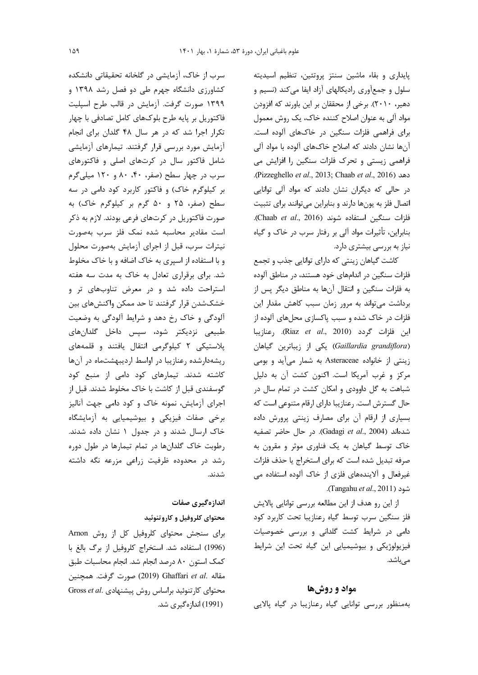یایداری و بقاء ماشین سنتز پروتئین، تنظیم اسیدیته سلول و جمعآوری رادیکالهای آزاد ایفا میکند (نسیم و دهیر، ۲۰۱۰). برخی از محققان بر این باورند که افزودن مواد آلی به عنوان اصلاح کننده خاک، یک روش معمول برای فراهمی فلزات سنگین در خاکهای آلوده است. آنها نشان دادند که اصلاح خاکهای آلوده با مواد آلی فراهمی زیستی و تحرک فلزات سنگین را افزایش می دهد (Pizzeghello et al., 2013; Chaab et al., 2016). در حالی که دیگران نشان دادند که مواد آلی توانایی اتصال فلز به یونها دارند و بنابراین میتوانند برای تثبیت فلزات سنكين استفاده شوند (Chaab et al., 2016). بنابراین، تأثیرات مواد آلی بر رفتار سرب در خاک و گیاه نیاز به بررسی بیشتری دارد.

كاشت گياهان زينتي كه داراي توانايي جذب و تجمع فلزات سنگین در اندامهای خود هستند، در مناطق آلوده به فلزات سنگین و انتقال آنها به مناطق دیگر پس از برداشت می تواند به مرور زمان سبب کاهش مقدار این فلزات در خاک شده و سبب پاکسازی محلهای آلوده از اين فلزات گردد (Riaz et al., 2010). ,عنازيبا (Gaillardia grandiflora) یکی از زیباترین گیاهان زینتی از خانواده Asteraceae به شمار میآید و بومی مرکز و غرب آمریکا است. اکنون کشت آن به دلیل شباهت به گل داوودی و امکان کشت در تمام سال در حال گسترش است. رعنازيبا داراي ارقام متنوعي است كه بسیاری از ارقام آن برای مصارف زینتی پرورش داده شدهاند (Gadagi et al., 2004). در حال حاضر تصفيه خاک توسط گیاهان به یک فناوری موثر و مقرون به صرفه تبدیل شده است که برای استخراج یا حذف فلزات غیرفعال و آلایندههای فلزی از خاک آلوده استفاده می شود (Tangahu et al., 2011).

از این رو هدف از این مطالعه بررسی توانایی پالایش فلز سنگین سرب توسط گیاه رعنازیبا تحت کاربرد کود دامی در شرایط کشت گلدانی و بررسی خصوصیات فیزیولوژیکی و بیوشیمیایی این گیاه تحت این شرایط مے باشد.

#### مواد و روشها

بهمنظور بررسی توانایی گیاه رعنازیبا در گیاه پالایی

سرب از خاک، آزمایشی در گلخانه تحقیقاتی دانشکده کشاورزی دانشگاه جهرم طی دو فصل رشد ۱۳۹۸ و ۱۳۹۹ صورت گرفت. آزمایش در قالب طرح اسپلیت فاکتوریل بر پایه طرح بلوکهای کامل تصادفی با چهار تکرار اجرا شد که در هر سال ۴۸ گلدان برای انجام آزمایش مورد بررسی قرار گرفتند. تیمارهای آزمایشی شامل فاکتور سال در کرتهای اصلی و فاکتورهای سرب در چهار سطح (صفر، ۴۰، ۸۰ و ۱۲۰ میلیگرم بر کیلوگرم خاک) و فاکتور کاربرد کود دامی در سه سطح (صفر، ٢۵ و ۵۰ گرم بر کیلوگرم خاک) به صورت فاکتوریل در کرتهای فرعی بودند. لازم به ذکر است مقادیر محاسبه شده نمک فلز سرب بهصورت نیترات سرب، قبل از اجرای آزمایش بهصورت محلول و با استفاده از اسپری به خاک اضافه و با خاک مخلوط شد. برای برقراری تعادل به خاک به مدت سه هفته استراحت داده شد و در معرض تناوبهای تر و خشکشدن قرار گرفتند تا حد ممکن واکنشهای بین آلودگی و خاک رخ دهد و شرایط آلودگی به وضعیت طبیعی نزدیکتر شود، سپس داخل گلدانهای یلاستیکی ۲ کیلوگرمی انتقال یافتند و قلمههای ریشهدارشده رعنازیبا در اواسط اردیبهشتماه در آنها کاشته شدند. تیمارهای کود دامی از منبع کود گوسفندی قبل از کاشت با خاک مخلوط شدند. قبل از اجرای آزمایش، نمونه خاک و کود دامی جهت آنالیز برخی صفات فیزیکی و بیوشیمیایی به آزمایشگاه خاک ارسال شدند و در جدول ۱ نشان داده شدند. رطوبت خاک گلدانها در تمام تیمارها در طول دوره رشد در محدوده ظرفیت زراعی مزرعه نگه داشته شدند.

> اندازهگیری صفات محتواي كلروفيل و كاروتنوئيد

برای سنجش محتوای کلروفیل کل از روش Arnon (1996) استفاده شد. استخراج کلروفیل از برگ بالغ با كمك استون ٨٠ درصد انجام شد. انجام محاسبات طبق مقاله .Ghaffari et al (2019) صورت گرفت. همچنین Gross et al. محتوای کارتنوئید براساس روش ییشنهادی (1991) اندازہ گیری شد.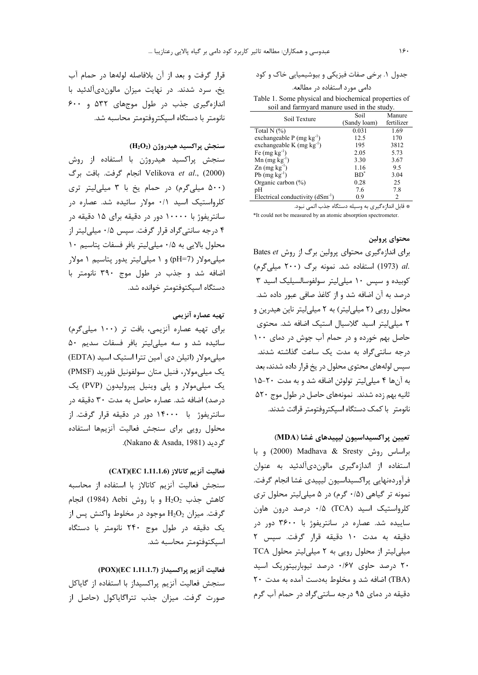| دامی مورد استفاده در مطالعه.                  |
|-----------------------------------------------|
| ile 1. Some nhysical and hiochemical properti |

Table 1. Some physical and biochemical properties of soil and farmyard manure used in the study.

| Soil Texture                         | Soil         | Manure     |
|--------------------------------------|--------------|------------|
|                                      | (Sandy loam) | fertilizer |
| Total N $(%)$                        | 0.031        | 1.69       |
| exchangeable $P$ (mg $kg^{-1}$ )     | 12.5         | 170        |
| exchangeable K $(mg kg^{-1})$        | 195          | 3812       |
| Fe $(mg kg^{-1})$                    | 2.05         | 5.73       |
| $Mn$ (mg kg <sup>-1</sup> )          | 3.30         | 3.67       |
| $Zn$ (mg $kg^{-1}$ )                 | 1.16         | 9.5        |
| Pb $(mg kg^{-1})$                    | $BD^*$       | 3.04       |
| Organic carbon $(\%)$                | 0.28         | 25         |
| рH                                   | 7.6          | 7.8        |
| Electrical conductivity $(dSm^{-1})$ | 0.9          | 2          |

\* قابل اندازهگیری به وسیله دستگاه جذب اتمی نبود. \*It could not be measured by an atomic absorption spectrometer.

محتواي پرولين

برای اندازهگیری محتوای پرولین برگ از روش Bates et .al (1973) استفاده شد. نمونه برگ (٢٠٠ ميلي گرم) کوبیده و سپس ١٠ میلی لیتر سولفوسالسیلیک اسید ٣ درصد به آن اضافه شد و از کاغذ صافی عبور داده شد. محلول رويي (٢ ميليليتر) به ٢ ميليليتر ناين هيدرين و ۲ میلی لیتر اسید گلاسیال استیک اضافه شد. محتوی حاصل بهم خورده و در حمام آب جوش در دمای ١٠٠ درجه سانتی گراد به مدت یک ساعت گذاشته شدند. سپس لولههای محتوی محلول در یخ قرار داده شدند، بعد به آنها ۴ میلیلیتر تولوئن اضافه شد و به مدت ۲۰-۱۵ ثانیه بهم زده شدند. نمونههای حاصل در طول موج ۵۲۰ نانومتر با کمک دستگاه اسپکتروفتومتر قرائت شدند.

تعيين پراكسيداسيون ليپيدهاي غشا (MDA) براساس روش Sresty (2000) Madhava & Sresty و با استفاده از اندازهگیری مالوندیآلدئید به عنوان فرآوردهنهايي پراكسيداسيون ليپيدي غشا انجام گرفت. نمونه تر گیاهی (۰/۵ گرم) در ۵ میلی لیتر محلول تری كلرواستيك اسيد (TCA) ۰/۵ درصد درون هاون ساییده شد. عصاره در سانتریفوژ با ۳۶۰۰ دور در دقيقه به مدت ١٠ دقيقه قرار گرفت. سپس ٢ TCA میلی لیتر از محلول رویی به ۲ میلی لیتر محلول ۲۰ درصد حاوی ۰/۶۷ درصد تیوباربیتوریک اسید (TBA) اضافه شد و مخلوط بهدست آمده به مدت ۲۰ دقیقه در دمای ۹۵ درجه سانتی گراد در حمام آب گرم

قرار گرفت و بعد از آن بلافاصله لولهها در حمام آب یخ، سرد شدند. در نهایت میزان مالوندیآلدئید با اندازهگیری جذب در طول موجهای ۵۳۲ و ۶۰۰ نانومتر با دستگاه اسپکتروفتومتر محاسبه شد.

سنجش پراکسید هیدروژن ( $\rm{H}_{2}\rm{O}_{2}$ )

سنجش پراکسید هیدروژن با استفاده از روش }) Z= .Z=), kT8 Velikova *et al*., (2000) (۵۰۰ میلیگرم) در حمام یخ با ۳ میلی لیتر تری کلرواستیک اسید ۰/۱ مولار سائیده شد. عصاره در سانتریفوژ با ۱۰۰۰۰ دور در دقیقه برای ۱۵ دقیقه در ۴ درجه سانتی گراد قرار گرفت. سپس ۰/۵ میلی لیتر از محلول بالايي به ۰/۵ ميلي ليتر بافر فسفات يتاسيم ١٠ میلیمولار (pH=7) و ۱ میلی لیتر یدور پتاسیم ۱ مولار اضافه شد و جذب در طول موج ۳۹۰ نانومتر با دستگاه اسپکتوفتومتر خوانده شد.

#### تهيه عصاره آنزيم*ي*

برای تهیه عصاره آنزیمی، بافت تر (١٠٠ میلیگرم) سائیده شد و سه میلی لیتر بافر فسفات سدیم ۵۰ میلی مولار (اتیلن دی آمین تترا استیک اسید (EDTA) یک میلی مولار، فنیل متان سولفونیل فلورید (PMSF) یک میلی مولار و پلی وینیل پیرولیدون (PVP) یک درصد) اضافه شد. عصاره حاصل به مدت ۳۰ دقیقه در سانتریفوژ با ۱۴۰۰۰ دور در دقیقه قرار گرفت. از محلول رویی برای سنجش فعالیت آنزیمها استفاده .( Nakano & Asada, 1981) 0),

فعاليت آنزيم كاتالاز (CAT)(EC 1.11.1.6)

سنجش فعاليت آنزيم كاتالاز با استفاده از محاسبه  $H_2O_2$  كاهش جذب  $H_2O_2$  و با روش Aebi (1984) انجام گرفت. میزان  $\rm H_2O_2$  موجود در مخلوط واکنش پس از یک دقیقه در طول موج ۲۴۰ نانومتر با دستگاه اسپكتوفتومتر محاسبه شد.

# فعاليت آنزيم پراكسيداز (POX)(EC 1.11.1.7)

سنجش فعاليت آنزيم پراكسيداز با استفاده از گاياكل صورت گرفت. میزان جذب تتراگایاکول (حاصل از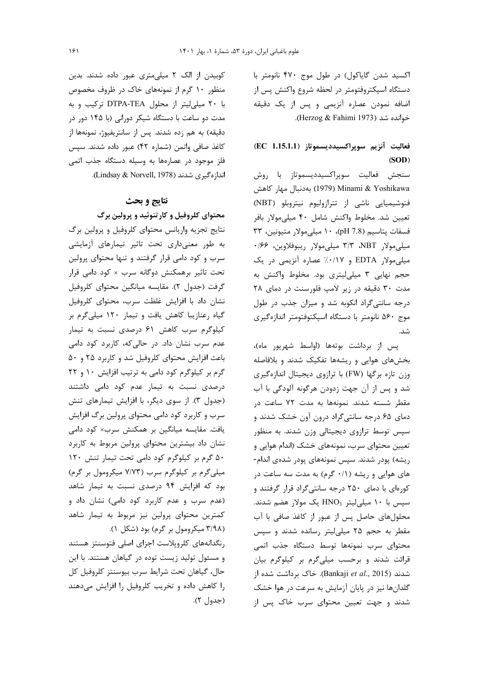اکسید شدن گایاکول) در طول موج ۴۷۰ نانومتر با دستگاه اسپکتروفتومتر در لحظه شروع واکنش پس از اضافه نمودن عصاره أنزيمي و پس از يک دقيقه خوانده شد (Herzog & Fahimi 1973).

# فعاليت آنزيم سوپراكسيدديسموتاز (EC 1.15.1.1)  $(SOD)$

سنجش فعاليت سوپراكسيدديسموتاز با روش بەدنبال مهار كاهش (1979) Minami & Yoshikawa فتوشیمیایی ناشی از تترازولیوم نیتروبلو (NBT) تعيين شد. مخلوط واكنش شامل ۴۰ ميلي مولار بافر فسفات پتاسيم (1.8 pH)، ١٠ ميلي مولار متيونين، ٣٣ میلیمولار NBT، ۳/۳ میلیمولار ریبوفلاوین، ۱۶۶۰ میلی مولار EDTA و ۰/۰/۱۷٪ عصاره آنزیمی در یک حجم نهایی ۳ میلی لیتری بود. مخلوط واکنش به مدت ٣٠ دقيقه در زير لامپ فلورسنت در دمای ٢٨ درجه سانتی گراد انکوبه شد و میزان جذب در طول موج ۵۶۰ نانومتر با دستگاه اسپکتوفتومتر اندازهگیری شد.

پس از برداشت بوتهها (اواسط شهریور ماه)، بخشهای هوایی و ریشهها تفکیک شدند و بلافاصله وزن تازه بركها (FW) با ترازوي ديجيتال اندازهگيري شد و پس از آن جهت زدودن هرگونه آلودگی با آب مقطر شسته شدند. نمونهها به مدت ۷۲ ساعت در دمای ۶۵ درجه سانتیگراد درون آون خشک شدند و سپس توسط ترازوی دیجیتالی وزن شدند. به منظور تعیین محتوای سرب، نمونههای خشک (اندام هوایی و ریشه) پودر شدند. سپس نمونههای پودر شدهی اندام-های هوایی و ریشه (۰/۱ گرم) به مدت سه ساعت در کورهای با دمای ۲۵۰ درجه سانتیگراد قرار گرفتند و سپس با ۱۰ میلی لیتر HNO3 یک مولار هضم شدند. محلولهای حاصل پس از عبور از کاغذ صافی با آب مقطر به حجم ۲۵ میلی لیتر رسانده شدند و سیس محتواى سرب نمونهها توسط دستگاه جذب اتمى قرائت شدند وبرحسب میلیگرم بر کیلوگرم بیان شدند (Bankaji et al., 2015). خاک برداشت شده از گلدانها نیز در پایان آزمایش به سرعت در هوا خشک شدند و جهت تعیین محتوای سرب خاک پس از

کوبیدن از الک ۲ میلی متری عبور داده شدند. بدین منظور ۱۰ گرم از نمونههای خاک در ظروف مخصوص با ٢٠ ميلي ليتر از محلول DTPA-TEA تركيب وبه مدت دو ساعت با دستگاه شیکر دورانی (با ۱۴۵ دور در دقیقه) به هم زده شدند. پس از سانتریفیوژ، نمونهها از كاغذ صافى واتمن (شماره ۴۲) عبور داده شدند. سپس فلز موجود در عصارهها به وسیله دستگاه جذب اتمی اندازەگىرى شدند (Lindsay & Norvell, 1978).

## نتايج و بحث

محتوای کلروفیل و کارتنوئید و پرولین برگ

نتایج تجزیه واریانس محتوای کلروفیل و پرولین برگ به طور معنىدارى تحت تاثير تيمارهاى آزمايشى سرب و کود دامی قرار گرفتند و تنها محتوای پرولین تحت تاثیر برهمکنش دوگانه سرب × کود دامی قرار گرفت (جدول ٢). مقايسه ميانگين محتواي كلروفيل نشان داد با افزایش غلظت سرب، محتوای کلروفیل گیاه رعنازیبا کاهش یافت و تیمار ۱۲۰ میلیگرم بر کیلوگرم سرب کاهش ۶۱ درصدی نسبت به تیمار عدم سرب نشان داد. در حالیکه، کاربرد کود دامی باعث افزایش محتوای کلروفیل شد و کاربرد ۲۵ و ۵۰ گرم بر کیلوگرم کود دامی به ترتیب افزایش ١٠ و ٢٢ درصدی نسبت به تیمار عدم کود دامی داشتند (جدول ٣). از سوى ديگر، با افزايش تيمارهاى تنش سرب و کاربرد کود دامی محتوای پرولین برگ افزایش یافت. مقایسه میانگین بر همکنش سرب× کود دامی نشان داد بیشترین محتوای پرولین مربوط به کاربرد ۵۰ گرم بر کیلوگرم کود دامی تحت تیمار تنش ۱۲۰ میلیگرم بر کیلوگرم سرب (۷/۷۳ میکرومول بر گرم) بود که افزایش ۹۴ درصدی نسبت به تیمار شاهد (عدم سرب و عدم کاربرد کود دامی) نشان داد و كمترين محتواي پرولين نيز مربوط به تيمار شاهد (۳/۹۸ میکرومول بر گرم) بود (شکل ۱).

رنگدانههای کلروپلاست اجزای اصلی فتوسنتز هستند و مسئول تولید زیست توده در گیاهان هستند. با این حال، گیاهان تحت شرایط سرب بیوسنتز کلروفیل کل را کاهش داده و تخریب کلروفیل را افزایش می دهند (جدول ۲).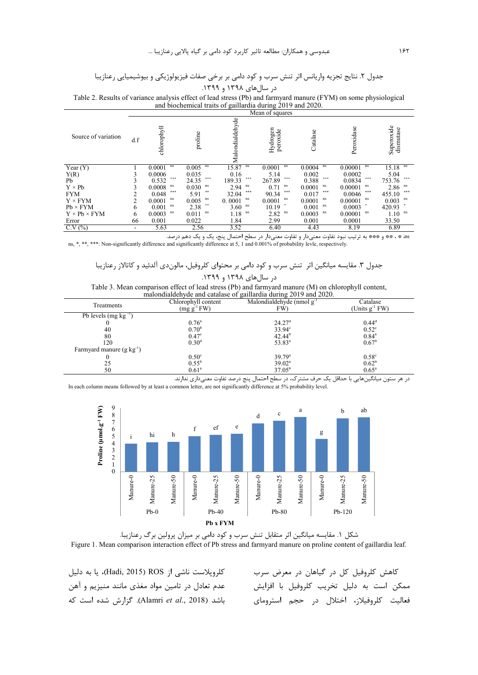## جدول ۲. نتايج تجزيه واريانس اثر تنش سرب و كود دامي بر برخي صفات فيزيولوژيكي و بيوشيميايي رعنازيبا در سالهای ۱۳۹۸ و ۱۳۹۹.

Table 2. Results of variance analysis effect of lead stress (Pb) and farmyard manure (FYM) on some physiological and biochemical traits of gaillardia during 2019 and 2020.

|                          |     |                |              |                 | Mean of squares      |              |                |                         |
|--------------------------|-----|----------------|--------------|-----------------|----------------------|--------------|----------------|-------------------------|
| Source of variation      | d.f | chlorophyll    | proline      | Malondialdehyde | Hydrogen<br>peroxide | Catalase     | Peroxidase     | Superoxide<br>dismutase |
| Year $(Y)$               |     | 0.0001<br>ns   | ns<br>0.005  | 15.87<br>ns     | ns<br>0.0001         | ns<br>0.0004 | ns<br>0.00001  | 15.18<br>ns             |
| Y(R)                     |     | 0.0006         | 0.035        | 0.16            | 5.14                 | 0.002        | 0.0002         | 5.04                    |
| Pb                       |     | ***<br>0.532   | ***<br>24.35 | ***<br>189.33   | ***<br>267.89        | 零零零<br>0.388 | ***<br>0.0834  | ***<br>753.76           |
| $Y \times Pb$            |     | ns<br>0.0008   | ns<br>0.030  | ns<br>2.94      | ns<br>0.71           | ns<br>0.0001 | ns<br>0.00001  | 2.86<br>ns              |
| <b>FYM</b>               | ◠   | $***$<br>0.048 | 学生<br>5.91   | 学学学<br>32.04    | 学学等<br>90.34         | 零零零<br>0.017 | 零零零<br>0.0046  | 学家学<br>455.10           |
| $Y \times FYM$           | 2   | ns<br>0.0001   | ns<br>0.005  | ns<br>0.0001    | ns<br>0.0001         | ns<br>0.0001 | ns<br>0.00001  | 0.003<br>ns             |
| $Pb \times FYM$          | 6   | ns<br>0.001    | 事業<br>2.38   | ns<br>3.60      | 10.19                | 0.001<br>ns  | 0.0003         | 420.93                  |
| $Y \times Pb \times FYM$ | 6   | ns<br>0.0003   | ns<br>0.011  | ns<br>1.18      | ns<br>2.82           | ns<br>0.0003 | ns.<br>0.00001 | ns<br>1.10              |
| Error                    | 66  | 0.001          | 0.022        | 1.84            | 2.99                 | 0.001        | 0.0001         | 33.50                   |
| C.V(%)                   | ۰   | 5.63           | 2.56         | 3.52            | 6.40                 | 4.43         | 8.19           | 6.89                    |

as \* ، \*\* و \*\*\* به ترتيب نبود تفاوت معنىدار و تفاوت معنىدار در سطح احتمال پنج، يک و يک دهم درصد.

ns, \*, \*\*, \*\*\*: Non-significantly difference and significantly difference at 5, 1 and 0.001% of probability levle, respectively.

جدول ٣. مقايسه ميانگين اثر تنش سرب و كود دامى بر محتواى كلروفيل، مالوندى آلدئيد و كاتالاز رعنازيبا د, سال های ۱۳۹۸ و ۱۳۹۹.

| Table 3. Mean comparison effect of lead stress (Pb) and farmyard manure (M) on chlorophyll content, |
|-----------------------------------------------------------------------------------------------------|
| malondialdehyde and catalase of gaillardia during 2019 and 2020.                                    |

|                                 |                     | $m$ and $m$ and $m$ and $m$ and $n$ and $m$ and $m$ and $m$ and $m$ |                     |  |
|---------------------------------|---------------------|---------------------------------------------------------------------|---------------------|--|
| Treatments                      | Chlorophyll content | Malondialdehyde (nmol $g^{-1}$                                      | Catalase            |  |
|                                 | $(mg g^{-1} F W)$   | FW)                                                                 | (Units $g^{-1}$ FW) |  |
| Pb levels $(mg kg^{-1})$        |                     |                                                                     |                     |  |
|                                 | $0.76^{\circ}$      | 24.27 <sup>d</sup>                                                  | $0.44^d$            |  |
| 40                              | 0.70 <sup>b</sup>   | $33.94^{\circ}$                                                     | $0.52^{\circ}$      |  |
| 80                              | 0.47 <sup>c</sup>   | $42.44^{b}$                                                         | $0.84^{\circ}$      |  |
| 120                             | 0.30 <sup>d</sup>   | $53.83^a$                                                           | $0.67^{\rm b}$      |  |
| Farmyard manure $(g \ kg^{-1})$ |                     |                                                                     |                     |  |
|                                 | 0.50 <sup>c</sup>   | 39.79 <sup>a</sup>                                                  | $0.58^{\circ}$      |  |
| 25                              | $0.55^{b}$          | $39.02^a$                                                           | $0.62^{b}$          |  |
| 50                              | $0.61^{\circ}$      | $37.05^{\rm b}$                                                     | $0.65^{\rm a}$      |  |

در هر ستون میانگینهایی با حداقل یک حرف مشترک، در سطح احتمال پنج درصد تفاوت معنیداری ندارند. In each column means followed by at least a common letter, are not significantly difference at 5% probability level.





كلروپلاست ناشى از ROS (Hadi, 2015)، يا به دليل عدم تعادل در تامین مواد مغذی مانند منیزیم و آهن باشد (Alamri *et al.*, 2018). گزارش شده است که

كاهش كلروفيل كل در گياهان در معرض سرب ممكن است به دليل تخريب كلروفيل با افزايش فعالیت کلروفیلاز، اختلال در حجم استرومای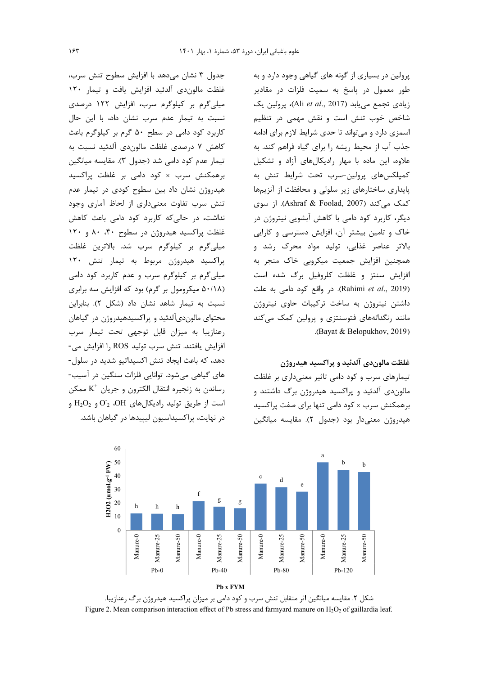جدول ٣ نشان مى دهد با افزايش سطوح تنش سرب، غلظت مالون دى آلدئيد افزايش يافت و تيمار ١٢٠ میلیگرم بر کیلوگرم سرب، افزایش ۱۲۲ درصدی نسبت به تیمار عدم سرب نشان داد، با این حال کاربرد کود دامی در سطح ۵۰ گرم بر کیلوگرم باعث كاهش ٧ درصدي غلظت مالون،دي آلدئيد نسبت به تیمار عدم کود دامی شد (جدول ۳). مقایسه میانگین برهمکنش سرب × کود دامی بر غلظت پراکسید هیدروژن نشان داد بین سطوح کودی در تیمار عدم تنش سرب تفاوت معنی داری از لحاظ آماری وجود نداشت، در حالی که کاربرد کود دامی باعث کاهش غلظت پراکسید هیدروژن در سطوح ۴۰، ۸۰ و ۱۲۰ میلیگرم بر کیلوگرم سرب شد. بالاترین غلظت پراکسید هیدروژن مربوط به تیمار تنش ١٢٠ میلیگرم بر کیلوگرم سرب و عدم کاربرد کود دامی (۵۰/۱۸ میکرومول بر گرم) بود که افزایش سه برابری نسبت به تیمار شاهد نشان داد (شکل ۲). بنابراین محتوای مالوندیآلدئید و پراکسیدهیدروژن در گیاهان رعنازيبا به ميزان قابل توجهي تحت تيمار سرب افزايش يافتند. تنش سرب توليد ROS ,ا افزايش مي-دهد، که باعث ایجاد تنش اکسیداتیو شدید در سلول-های گیاهی میشود. توانایی فلزات سنگین در آسیب-رساندن به زنجيره انتقال الكترون و جريان  $\rm K^+$  ممكن است از طريق توليد راديكالهاى O1،  $\overline{\mathrm{O}}_{2}$  و  $\mathrm{H_{2}O_{2}}$  و در نهایت، پراکسیداسیون لیپیدها در گیاهان باشد.

یرولین در بسیاری از گونه های گیاهی وجود دارد و به طور معمول در پاسخ به سمیت فلزات در مقادیر زيادي تجمع مي يابد (Ali et al., 2017)، پرولين يک شاخص خوب تنش است و نقش مهمی در تنظیم سمزی دارد و میتواند تا حدی شرایط لازم برای ادامه جذب آب از محیط ریشه را برای گیاه فراهم کند. به علاوه، این ماده با مهار رادیکالهای آزاد و تشکیل كمپلكسهاى پرولين-سرب تحت شرايط تنش به پایداری ساختارهای زیر سلولی و محافظت از آنزیمها كمك مي كند (Ashraf & Foolad, 2007). از سوى دیگر، کاربرد کود دامی با کاهش آبشویی نیتروژن در خاک و تامین بیشتر آن، افزایش دسترسی و کارایی بالاتر عناصر غذایی، تولید مواد محرک رشد و همچنین افزایش جمعیت میکروبی خاک منجر به فزایش سنتز و غلظت کلروفیل برگ شده است Cahimi *et al.*, 2019). در واقع کود دامی به علت داشتن نیتروژن به ساخت ترکیبات حاوی نیتروژن مانند رنگدانههای فتوسنتزی و پرولین کمک می کند .( Bayat & Belopukhov, 2019)

#### غلظت مالون**دی آلدئید و پراکسید هیدروژن**

تیمارهای سرب و کود دامی تاثیر معنی داری بر غلظت مالوندی آلدئید و پراکسید هیدروژن برگ داشتند و برهمکنش سرب × کود دامی تنها برای صفت پراکسید هيدروژن معنىدار بود (جدول ٢). مقايسه ميانگين



شکل ۲. مقایسه میانگین اثر متقابل تنش سرب و کود دامی بر میزان پراکسید هیدروژن برگ رعنازیبا. Figure 2. Mean comparison interaction effect of Pb stress and farmyard manure on  $H_2O_2$  of gaillardia leaf.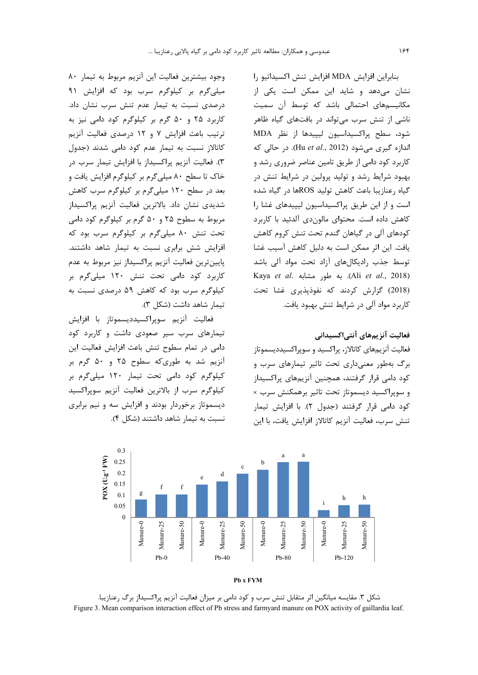وجود بيشترين فعاليت اين آنزيم مربوط به تيمار ٨٠ میلی گرم بر کیلوگرم سرب بود که افزایش ۹۱ درصدی نسبت به تیمار عدم تنش سرب نشان داد. کاربرد ۲۵ و ۵۰ گرم بر کیلوگرم کود دامی نیز به ترتيب باعث افزايش ٧ و ١٢ درصدى فعاليت آنزيم كاتالاز نسبت به تيمار عدم كود دامى شدند (جدول ٣). فعاليت آنزيم پراكسيداز با افزايش تيمار سرب در خاک تا سطح ۸۰ میلی گرم بر کیلوگرم افزایش یافت و بعد در سطح ۱۲۰ میلی گرم بر کیلوگرم سرب کاهش شدیدی نشان داد. بالاترین فعالیت آنزیم پراکسیداز مربوط به سطوح ۲۵ و ۵۰ گرم بر کیلوگرم کود دامی تحت تنش ۸۰ میلی گرم بر کیلوگرم سرب بود که افزایش شش برابری نسبت به تیمار شاهد داشتند. پایینترین فعالیت آنزیم پراکسیداز نیز مربوط به عدم کاربرد کود دامی تحت تنش ۱۲۰ میلی گرم بر کیلوگرم سرب بود که کاهش ۵۹ درصدی نسبت به تيمار شاهد داشت (شكل ٣).

فعاليت أنزيم سوپراكسيدديسموتاز با افزايش تیمارهای سرب سیر صعودی داشت و کاربرد کود دامی در تمام سطوح تنش باعث افزایش فعالیت این آنزیم شد به طوری که سطوح ۲۵ و ۵۰ گرم بر کیلوگرم کود دامی تحت تیمار ۱۲۰ میلیگرم بر كيلوگرم سرب از بالاترين فعاليت آنزيم سويراكسيد دیسموتاز برخوردار بودند و افزایش سه و نیم برابری نسبت به تیمار شاهد داشتند (شکل ۴).

بنابراين افزايش MDA افزايش تنش اكسيداتيو را نشان میدهد و شاید این ممکن است یکی از مکانیسمهای احتمالی باشد که توسط آن سمیت ناشی از تنش سرب می تواند در بافتهای گیاه ظاهر شود، سطح پراکسیداسیون لیپیدها از نظر MDA اندازه گیری می شود (Hu et al., 2012). در حالی که کاربرد کود دامی از طریق تامین عناصر ضروری رشد و بهبود شرایط رشد و تولید پرولین در شرایط تنش در گیاه , عنازیبا باعث کاهش تولید ROSها در گیاه شده است و از این طریق پراکسیداسیون لیپیدهای غشا را كاهش داده است. محتواي مالون دي آلدئيد با كاربرد کودهای آلی در گیاهان گندم تحت تنش کروم کاهش یافت. این اثر ممکن است به دلیل کاهش آسیب غشا توسط جذب رادیکالهای آزاد تحت مواد آلی باشد Kaya et al. به طور مشابه .(Ali et al., 2018) (2018) گزارش کردند که نفوذیذیری غشا تحت کاربرد مواد آلی در شرایط تنش بهبود یافت.

# فعالیت آنزیمهای آنتیاکسیدانی

فعالیت آنزیمهای کاتالاز، پراکسید و سویراکسیددیسموتاز برگ بهطور معنیداری تحت تاثیر تیمارهای سرب و کود دامی قرار گرفتند، همچنین آنزیمهای پراکسیداز و سوپراکسید دیسموتاز تحت تاثیر برهمکنش سرب × کود دامی قرار گرفتند (جدول ۲). با افزایش تیمار تنش سرب، فعاليت آنزيم كاتالاز افزايش يافت، با اين



شکل ۳. مقایسه میانگین اثر متقابل تنش سرب و کود دامی بر میزان فعالیت آنزیم پراکسیداز برگ رعنازیبا. Figure 3. Mean comparison interaction effect of Pb stress and farmyard manure on POX activity of gaillardia leaf.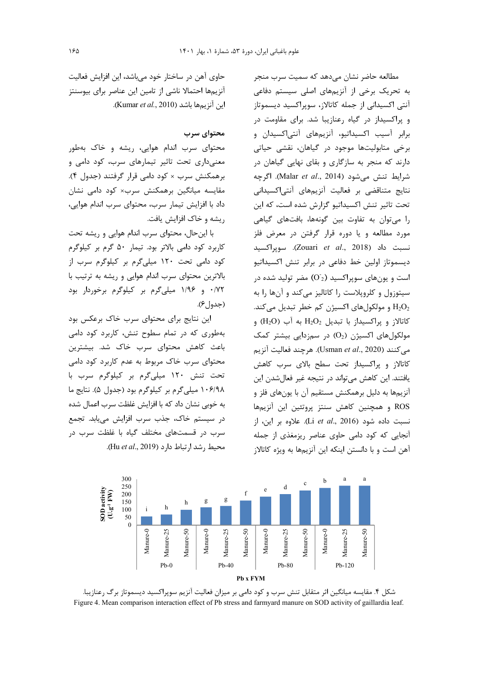مطالعه حاضر نشان مىدهد كه سميت سرب منجر به تحریک برخی از آنزیمهای اصلی سیستم دفاعی آنتی اکسیدانی از جمله کاتالاز، سویراکسید دیسموتاز و پراکسیداز در گیاه رعنازیبا شد. برای مقاومت در برابر آسیب اکسیداتیو، آنزیمهای آنتی اکسیدان و برخی متابولیتها موجود در گیاهان، نقشی حیاتی دارند که منجر به سازگاری و بقای نهایی گیاهان در شرايط تنش مي شود (Malar et al., 2014). اگرچه نتایج متناقضی بر فعالیت آنزیمهای آنتیاکسیدانی تحت تاثیر تنش اکسیداتیو گزارش شده است، که این را می توان به تفاوت بین گونهها، بافتهای گیاهی مورد مطالعه و یا دوره قرار گرفتن در معرض فلز نسبت داد (Zouari et al., 2018). سويراكسيد دیسموتاز اولین خط دفاعی در برابر تنش اکسیداتیو است و یونهای سوپراکسید (O2) مضر تولید شده در سیتوزول و کلروپلاست را کاتالیز میکند و آنها را به و مولکولهای اکسیژن کم خطر تبدیل میکند. H2O2  $(H_2O)$  كاتالاز و يراكسيداز با تبديل  $H_2O_2$  به آب مولکولهای اکسیژن (O2) در سمزدایی بیشتر کمک مي كنند (Usman et al., 2020). هرچند فعاليت آنزيم کاتالاز و پراکسیداز تحت سطح بالای سرب کاهش یافتند. این کاهش می تواند در نتیجه غیر فعالشدن این آنزیمها به دلیل برهمکنش مستقیم آن با یونهای فلز و ROS و همچنین کاهش سنتز پروتئین این آنزیمها نسبت داده شود (Li et al., 2016). علاوه بر این، از آنجایی که کود دامی حاوی عناصر ریزمغذی از جمله آهن است و با دانستن اینکه این آنزیمها به ویژه کاتالاز



#### محتواي سرب

محتوای سرب اندام هوایی، ریشه و خاک بهطور معنیداری تحت تاثیر تیمارهای سرب، کود دامی و برهمکنش سرب × کود دامی قرار گرفتند (جدول ۴). مقایسه میانگین برهمکنش سرب× کود دامی نشان داد با افزایش تیمار سرب، محتوای سرب اندام هوایی، ریشه و خاک افزایش یافت.

با این حال، محتوای سرب اندام هوایی و ریشه تحت کاربرد کود دامی بالاتر بود. تیمار ۵۰ گرم بر کیلوگرم کود دامی تحت ١٢٠ ميلیگرم بر کيلوگرم سرب از بالاترین محتوای سرب اندام هوایی و ریشه به ترتیب با ۰/۷۲ و ۱/۹۶ میلیگرم بر کیلوگرم برخوردار بود  $(\xi |_{\alpha})$ 

این نتایج برای محتوای سرب خاک برعکس بود بهطوری که در تمام سطوح تنش، کاربرد کود دامی باعث کاهش محتوای سرب خاک شد. بیشترین محتوای سرب خاک مربوط به عدم کاربرد کود دامی تحت تنش ١٢٠ ميلي گرم بر كيلوگرم سرب با ١٠۶/٩٨ ميلي گرم بر كيلوگرم بود (جدول ۵). نتايج ما به خوبی نشان داد که با افزایش غلظت سرب اعمال شده در سیستم خاک، جذب سرب افزایش می یابد. تجمع سرب در قسمتهای مختلف گیاه با غلظت سرب در محيط , شد ا, تباط دا, د (Hu et al., 2019).



شکل ۴. مقایسه میانگین اثر متقابل تنش سرب و کود دامی بر میزان فعالیت آنزیم سوپراکسید دیسموتاز برگ رعنازیبا. Figure 4. Mean comparison interaction effect of Pb stress and farmyard manure on SOD activity of gaillardia leaf.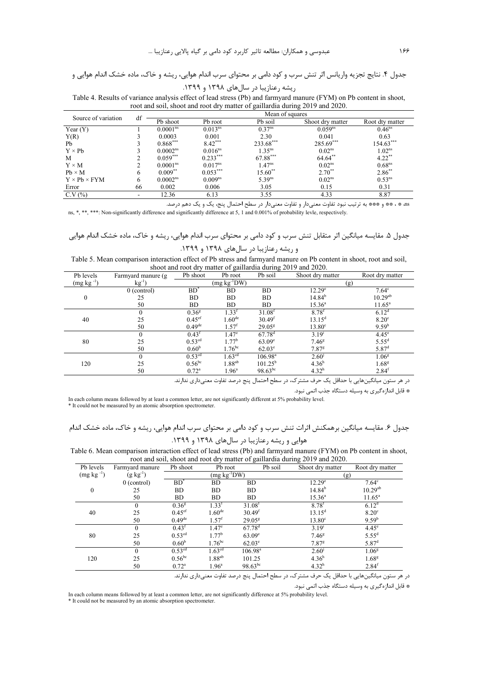جدول ۴. نتایج تجزیه واریانس اثر تنش سرب و کود دامی بر محتوای سرب اندام هوایی، ریشه و خاک، ماده خشک اندام هوایی و

Table 4. Results of variance analysis effect of lead stress (Pb) and farmyard manure (FYM) on Pb content in shoot, root and soil, shoot and root dry matter of gaillardia during 2019 and 2020.

| Source of variation      | df |                      |                     | Mean of squares    |                    |                    |
|--------------------------|----|----------------------|---------------------|--------------------|--------------------|--------------------|
|                          |    | Pb shoot             | Pb root             | Pb soil            | Shoot dry matter   | Root dty matter    |
| Year $(Y)$               |    | 0.0001 <sup>ns</sup> | 0.013 <sup>ns</sup> | 0.37 <sup>ns</sup> | $0.059^{ns}$       | $0.46^{ns}$        |
| Y(R)                     |    | 0.0003               | 0.001               | 2.30               | 0.041              | 0.63               |
| Pb                       |    | $0.868***$           | $8.42***$           | 233.68***          | $285.69***$        | $154.63***$        |
| $Y \times Ph$            |    | 0.0002 <sup>ns</sup> | $0.016^{ns}$        | $1.35^{ns}$        | 0.02 <sup>ns</sup> | 1.02 <sup>ns</sup> |
| M                        |    | $0.059***$           | $0.233***$          | 67.88***           | $64.64$ **         | $4.22$ **          |
| $Y \times M$             |    | 0.0001 <sup>ns</sup> | $0.017^{ns}$        | $1.47^{ns}$        | $0.02^{ns}$        | 0.68 <sup>ns</sup> |
| $Pb \times M$            | 6  | $0.009**$            | $0.053***$          | $15.60**$          | $2.70^{**}$        | $2.86$ **          |
| $Y \times Pb \times FYM$ | 6  | 0.0002 <sup>ns</sup> | 0.009 <sup>ns</sup> | $5.39^{ns}$        | 0.02 <sup>ns</sup> | 0.53 <sup>ns</sup> |
| Error                    | 66 | 0.002                | 0.006               | 3.05               | 0.15               | 0.31               |
| C.V(%)                   |    | 12.36                | 6.13                | 3.55               | 4.33               | 8.87               |

as \* ، \*\* و \*\*\* به ترتیب نبود تفاوت معنیدار و تفاوت معنیدار در سطح احتمال پنج، یک و یک دهم درصد.

ns, \*, \*\*\*; \*\*\*; Non-significantly difference and significantly difference at 5, 1 and 0.001% of probability levle, respectively.

Table 5. Mean comparison interaction effect of Pb stress and farmyard manure on Pb content in shoot, root and soil, shoot and root dry matter of gaillardia during 2019 and 2020.

| Pb levels        | Farmyard manure (g) | Pb shoot           | Pb root            | Pb soil              | Shoot dry matter    | Root dry matter   |  |
|------------------|---------------------|--------------------|--------------------|----------------------|---------------------|-------------------|--|
| $(mg kg^{-1})$   | $kg^{-1}$           |                    | $(mg kg^{-1}DW)$   |                      | (g)                 |                   |  |
|                  | $0$ (control)       | $BD^*$             | BD                 | <b>BD</b>            | $12.29^{\circ}$     | $7.64^{\circ}$    |  |
| $\boldsymbol{0}$ | 25                  | <b>BD</b>          | <b>BD</b>          | <b>BD</b>            | $14.84^{b}$         | $10.29^{ab}$      |  |
|                  | 50                  | <b>BD</b>          | <b>BD</b>          | BD                   | $15.36^{\circ}$     | $11.65^{\circ}$   |  |
|                  | $\boldsymbol{0}$    | 0.36 <sup>g</sup>  | $1.33^{f}$         | 31.08 <sup>t</sup>   | $8.78^{f}$          | $6.12^{d}$        |  |
| 40               | 25                  | 0.45 <sup>ef</sup> | $1.60^{\rm de}$    | 30.49 <sup>f</sup>   | $13.15^{\rm d}$     | $8.20^\circ$      |  |
|                  | 50                  | 0.49 <sup>de</sup> | $1.57^{f}$         | $29.05^{\rm g}$      | $13.80^\circ$       | $9.59^{b}$        |  |
|                  | $\mathbf{0}$        | 0.43 <sup>f</sup>  | 1.47 <sup>e</sup>  | $67.78$ <sup>d</sup> | $3.19^{i}$          | $4.45^{\circ}$    |  |
| 80               | 25                  | 0.53 <sup>cd</sup> | 1.77 <sup>b</sup>  | $63.09^{\circ}$      | 7.46 <sup>g</sup>   | $5.55^{d}$        |  |
|                  | 50                  | 0.60 <sup>b</sup>  | $1.76^{bc}$        | $62.03^{\circ}$      | $7.87$ <sup>g</sup> | 5.87 <sup>d</sup> |  |
|                  | $\theta$            | 0.53 <sup>cd</sup> | $1.63^{\text{cd}}$ | $106.98^{\text{a}}$  | 2.60 <sup>j</sup>   | 1.06 <sup>g</sup> |  |
| 120              | 25                  | $0.56^{bc}$        | $1.88^{ab}$        | $101.25^{\circ}$     | 4.36 <sup>h</sup>   | 1.68 <sup>g</sup> |  |
|                  | 50                  | $0.72^{\rm a}$     | $1.96^{\circ}$     | $98.63^{bc}$         | 4.32 <sup>h</sup>   | $2.84^t$          |  |

در هر ستون میانگینهایی با حداقل یک حرف مشترک، در سطح احتمال پنج درصد تفاوت معنیداری ندارند.

\* قابل اندازهگیری به وسیله دستگاه جذب اتمی نبود.

In each column means followed by at least a common letter, are not significantly different at 5% probability level.<br>\* It could not be measured by an atomic absorption spectrometer.

# جدول ۶. مقایسه میانگین برهمکنش اثرات تنش سرب و کود دامی بر محتوای سرب اندام هوایی، ریشه و خاک، ماده خشک اندام

## هوایی و ریشه رعنازیبا در سالهای ۱۳۹۸ و ۱۳۹۹.

Table 6. Mean comparison interaction effect of lead stress (Pb) and farmyard manure (FYM) on Pb content in shoot, root and soil, shoot and root dry matter of gaillardia during 2019 and 2020.

| Pb levels      | Farmyard manure  | Pb shoot             | Pb root            |                      | Pb soil | Shoot dry matter    | Root dry matter   |
|----------------|------------------|----------------------|--------------------|----------------------|---------|---------------------|-------------------|
| $(mg kg^{-1})$ | $(g \, kg^{-1})$ |                      | $(mg kg^{-1}DW)$   |                      |         | (g)                 |                   |
|                | $0$ (control)    | $BD^*$               | BD                 | BD                   |         | 12.29 <sup>e</sup>  | $7.64^{\circ}$    |
| $\mathbf{0}$   | 25               | <b>BD</b>            | <b>BD</b>          | <b>BD</b>            |         | $14.84^{b}$         | $10.29^{ab}$      |
|                | 50               | <b>BD</b>            | <b>BD</b>          | <b>BD</b>            |         | $15.36^{\circ}$     | $11.65^{\circ}$   |
|                | $\Omega$         | 0.36 <sup>g</sup>    | 1.33 <sup>f</sup>  | 31.08 <sup>f</sup>   |         | $8.78^{f}$          | $6.12^{d}$        |
| 40             | 25               | 0.45 <sup>ef</sup>   | 1.60 <sup>de</sup> | 30.49 <sup>f</sup>   |         | $13.15^d$           | 8.20 <sup>c</sup> |
|                | 50               | $0.49$ <sup>de</sup> | $1.57^{f}$         | $29.05^{\rm g}$      |         | $13.80^\circ$       | 9.59 <sup>b</sup> |
|                | $\theta$         | 0.43 <sup>f</sup>    | 1.47 <sup>e</sup>  | $67.78$ <sup>d</sup> |         | $3.19^{i}$          | $4.45^{\circ}$    |
| 80             | 25               | 0.53 <sup>cd</sup>   | $1.77^{\rm b}$     | 63.09 <sup>e</sup>   |         | 7.46 <sup>g</sup>   | $5.55^{\rm d}$    |
|                | 50               | 0.60 <sup>b</sup>    | $1.76^{bc}$        | $62.03^{\circ}$      |         | $7.87$ <sup>g</sup> | 5.87 <sup>d</sup> |
|                | 0                | 0.53 <sup>cd</sup>   | 1.63 <sup>cd</sup> | $106.98^{\text{a}}$  |         | $2.60^{\circ}$      | 1.06 <sup>g</sup> |
| 120            | 25               | $0.56^{bc}$          | $1.88^{ab}$        | 101.25               |         | 4.36 <sup>h</sup>   | 1.68 <sup>g</sup> |
|                | 50               | $0.72^{\rm a}$       | $1.96^{\circ}$     | $98.63^{bc}$         |         | 4.32 <sup>h</sup>   | 2.84 <sup>f</sup> |

در هر ستون میانگینهایی با حداقل یک حرف مشترک، در سطح احتمال پنج درصد تفاوت معنیداری ندارند.

\* قابل اندازهگیری به وسیله دستگاه جذب اتمی نبود.

In each column means followed by at least a common letter, are not significantly difference at 5% probability level. \* It could not be measured by an atomic absorption spectrometer.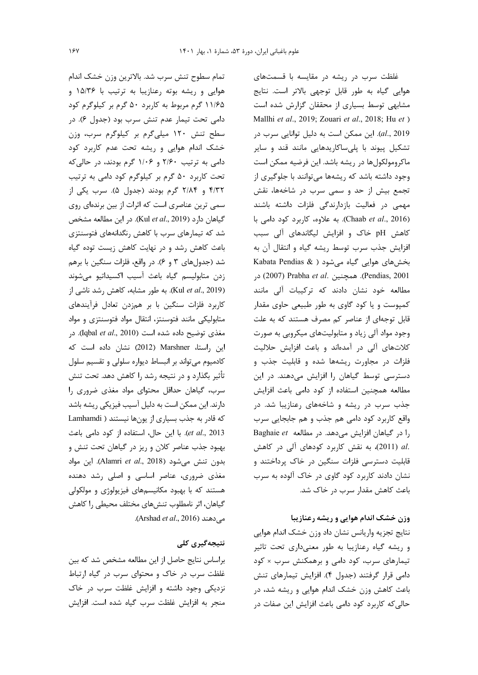تمام سطوح تنش سرب شد. بالاترين وزن خشک اندام هوایی و ریشه بوته رعنازیبا به ترتیب با ۱۵/۳۶ و ۱۱/۶۵ گرم مربوط به کاربرد ۵۰ گرم بر کیلوگرم کود دامی تحت تیمار عدم تنش سرب بود (جدول ۶). در سطح تنش ١٢٠ ميلي گرم بر كيلوگرم سرب، وزن خشک اندام هوایی و ریشه تحت عدم کاربرد کود دامی به ترتیب ۲/۶۰ و ۱/۰۶ گرم بودند، در حالی که تحت کاربرد ۵۰ گرم بر کیلوگرم کود دامی به ترتیب ۴/۳۲ و ۲/۸۴ گرم بودند (جدول ۵). سرب یکی از سمی ترین عناصری است که اثرات از بین برندهای روی گیاهان دارد (Kul et al., 2019). در این مطالعه مشخص شد که تیمارهای سرب با کاهش رنگدانههای فتوسنتزی باعث کاهش رشد و در نهایت کاهش زیست توده گیاه شد (جدولهای ۳ و ۶). در واقع، فلزات سنگین با برهم زدن متابولیسم گیاه باعث آسیب اکسیداتیو می شوند (Kul et al., 2019). به طور مشابه، كاهش رشد ناشى از كاربرد فلزات سنگين با بر همزدن تعادل فرآيندهاى متابولیکی مانند فتوسنتز، انتقال مواد فتوسنتزی و مواد مغذی توضیح داده شده است (Iqbal *et al.*, 2010). در این راستا، Marshner (2012) نشان داده است که كادميوم مىتواند بر انبساط ديواره سلولى و تقسيم سلول تأثیر بگذارد و در نتیجه رشد را کاهش دهد. تحت تنش سرب، گیاهان حداقل محتوای مواد مغذی ضروری را دارند. این ممکن است به دلیل آسیب فیزیکی ریشه باشد که قادر به جذب بسیاری از یونها نیستند ( Lamhamdi et al., 2013). با این حال، استفاده از کود دامی باعث بهبود جذب عناصر كلان و ريز در گياهان تحت تنش و بدون تنش می شود (Alamri et al., 2018). این مواد مغذی ضروری، عناصر اساسی و اصلی رشد دهنده هستند که با بهبود مکانیسمهای فیزیولوژی و مولکولی گیاهان، اثر نامطلوب تنشءای مختلف محیطی را کاهش می دهند (Arshad *et al.,* 2016).

### نتیجەگیری کلی

براساس نتايج حاصل از اين مطالعه مشخص شد كه بين غلظت سرب در خاک و محتوای سرب در گیاه ارتباط نزدیکی وجود داشته و افزایش غلظت سرب در خاک منجر به افزایش غلظت سرب گیاه شده است. افزایش

غلظت سرب در ریشه در مقایسه با قسمتهای هوایی گیاه به طور قابل توجهی بالاتر است. نتایج مشابهی توسط بسیاری از محققان گزارش شده است Mallhi et al., 2019; Zouari et al., 2018; Hu et ) al., 2019). این ممکن است به دلیل توانایی سرب در تشکیل پیوند با پلیساکاریدهایی مانند قند و سایر ماکرومولکولها در ریشه باشد. این فرضیه ممکن است وجود داشته باشد که ریشهها می توانند با جلوگیری از تجمع بیش از حد و سمی سرب در شاخهها، نقش مهمی در فعالیت بازدارندگی فلزات داشته باشند (Chaab et al., 2016). به علاوه، كاربرد كود دامى با کاهش pH خاک و افزایش لیگاندهای آلی سبب افزایش جذب سرب توسط ریشه گیاه و انتقال آن به Kabata Pendias & ) بخشهای هوایی گیاه می شود ( Kabata Pendias & Pendias, 2001). همچنین Pendias, 2007) در مطالعه خود نشان دادند که ترکیبات آلی مانند کمپوست و یا کود گاوی به طور طبیعی حاوی مقدار قابل توجهای از عناصر کم مصرف هستند که به علت وجود مواد آلی زیاد و متابولیتهای میکروبی به صورت كلاتهاى آلى در آمدهاند و باعث افزايش حلاليت فلزات در مجاورت ریشهها شده و قابلیت جذب و دسترسی توسط گیاهان را افزایش میدهند. در این مطالعه همچنین استفاده از کود دامی باعث افزایش جذب سرب در ریشه و شاخههای رعنازیبا شد. در واقع کاربرد کود دامی هم جذب و هم جابجایی سرب را در گیاهان افزایش میدهد. در مطالعه Baghaie et .al (2011)، به نقش كاربرد كودهاى آلى در كاهش قابلیت دسترسی فلزات سنگین در خاک پرداختند و نشان دادند کاربرد کود گاوی در خاک آلوده به سرب باعث كاهش مقدار سرب در خاك شد.

# وزن خشک اندام هوایی و ریشه رعنازیبا

نتايج تجزيه واريانس نشان داد وزن خشک اندام هوايي و ریشه گیاه رعنازیبا به طور معنیداری تحت تاثیر تیمارهای سرب، کود دامی و برهمکنش سرب × کود دامی قرار گرفتند (جدول ۴). افزایش تیمارهای تنش باعث کاهش وزن خشک اندام هوایی و ریشه شد، در حالی که کاربرد کود دامی باعث افزایش این صفات در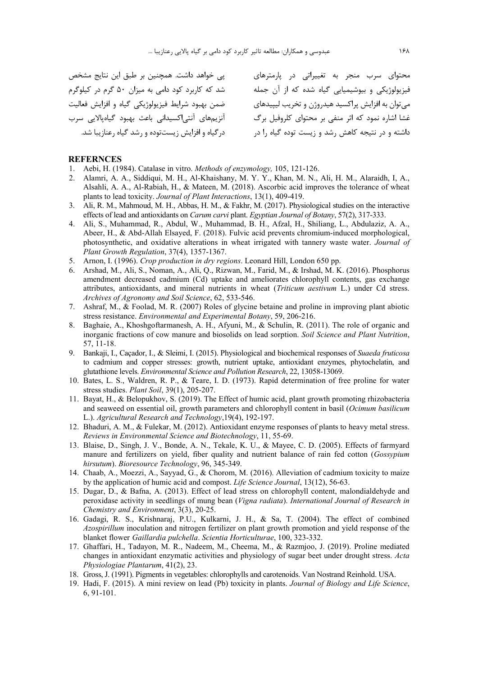| محتوای سرب منجر به تغییراتی در پارمترهای           |
|----------------------------------------------------|
| فیزیولوژیکی و بیوشیمیایی گیاه شده که از آن جمله    |
| مي توان به افزايش پراکسيد هيدروژن و تخريب ليپيدهاي |
| غشا اشاره نمود که اثر منفی بر محتوای کلروفیل برگ   |
| داشته و در نتیجه کاهش رشد و زیست توده گیاه را در   |
|                                                    |

#### **REFERNCES**

- 1. Aebi, H. (1984). Catalase in vitro. *Methods of enzymology,* 105, 121-126.
- 2. Alamri, A. A., Siddiqui, M. H., Al-Khaishany, M. Y. Y., Khan, M. N., Ali, H. M., Alaraidh, I, A., Alsahli, A. A., Al-Rabiah, H., & Mateen, M. (2018). Ascorbic acid improves the tolerance of wheat plants to lead toxicity. *Journal of Plant Interactions*, 13(1), 409-419.
- 3. Ali, R. M., Mahmoud, M. H., Abbas, H. M., & Fakhr, M. (2017). Physiological studies on the interactive effects of lead and antioxidants on *Carum carvi* plant. *Egyptian Journal of Botany*, 57(2), 317-333.
- 4. Ali, S., Muhammad, R., Abdul, W., Muhammad, B. H., Afzal, H., Shiliang, L., Abdulaziz, A. A., Abeer, H., & Abd-Allah Elsayed, F. (2018). Fulvic acid prevents chromium-induced morphological, photosynthetic, and oxidative alterations in wheat irrigated with tannery waste water. *Journal of Plant Growth Regulation*, 37(4), 1357-1367.
- 5. Arnon, I. (1996). *Crop production in dry regions*. Leonard Hill, London 650 pp.
- 6. Arshad, M., Ali, S., Noman, A., Ali, Q., Rizwan, M., Farid, M., & Irshad, M. K. (2016). Phosphorus amendment decreased cadmium (Cd) uptake and ameliorates chlorophyll contents, gas exchange attributes, antioxidants, and mineral nutrients in wheat (*Triticum aestivum* L.) under Cd stress. *Archives of Agronomy and Soil Science*, 62, 533-546.
- 7. Ashraf, M., & Foolad, M. R. (2007) Roles of glycine betaine and proline in improving plant abiotic stress resistance. *Environmental and Experimental Botany*, 59, 206-216.
- 8. Baghaie, A., Khoshgoftarmanesh, A. H., Afyuni, M., & Schulin, R. (2011). The role of organic and inorganic fractions of cow manure and biosolids on lead sorption. *Soil Science and Plant Nutrition*, 57, 11-18.
- 9. Bankaji, I., Caçador, I., & Sleimi, I. (2015). Physiological and biochemical responses of *Suaeda fruticosa* to cadmium and copper stresses: growth, nutrient uptake, antioxidant enzymes, phytochelatin, and glutathione levels. *Environmental Science and Pollution Research*, 22, 13058-13069.
- 10. Bates, L. S., Waldren, R. P., & Teare, I. D. (1973). Rapid determination of free proline for water stress studies. *Plant Soil*, 39(1), 205-207.
- 11. Bayat, H., & Belopukhov, S. (2019). The Effect of humic acid, plant growth promoting rhizobacteria and seaweed on essential oil, growth parameters and chlorophyll content in basil (*Ocimum basilicum* L.). *Agricultural Research and Technology*,19(4), 192-197.
- 12. Bhaduri, A. M., & Fulekar, M. (2012). Antioxidant enzyme responses of plants to heavy metal stress. *Reviews in Environmental Science and Biotechnology*, 11, 55-69.
- 13. Blaise, D., Singh, J. V., Bonde, A. N., Tekale, K. U., & Mayee, C. D. (2005). Effects of farmyard manure and fertilizers on yield, fiber quality and nutrient balance of rain fed cotton (*Gossypium hirsutum*). *Bioresource Technology*, 96, 345-349.
- 14. Chaab, A., Moezzi, A., Sayyad, G., & Chorom, M. (2016). Alleviation of cadmium toxicity to maize by the application of humic acid and compost. *Life Science Journal*, 13(12), 56-63.
- 15. Dugar, D., & Bafna, A. (2013). Effect of lead stress on chlorophyll content, malondialdehyde and peroxidase activity in seedlings of mung bean (*Vigna radiata*). *International Journal of Research in Chemistry and Environment*, 3(3), 20-25.
- 16. Gadagi, R. S., Krishnaraj, P.U., Kulkarni, J. H., & Sa, T. (2004). The effect of combined *Azospirillum* inoculation and nitrogen fertilizer on plant growth promotion and yield response of the blanket flower *Gaillardia pulchella*. *Scientia Horticulturae*, 100, 323-332.
- 17. Ghaffari, H., Tadayon, M. R., Nadeem, M., Cheema, M., & Razmjoo, J. (2019). Proline mediated changes in antioxidant enzymatic activities and physiology of sugar beet under drought stress. *Acta Physiologiae Plantarum*, 41(2), 23.
- 18. Gross, J. (1991). Pigments in vegetables: chlorophylls and carotenoids. Van Nostrand Reinhold. USA.
- 19. Hadi, F. (2015). A mini review on lead (Pb) toxicity in plants. *Journal of Biology and Life Science*, 6, 91-101.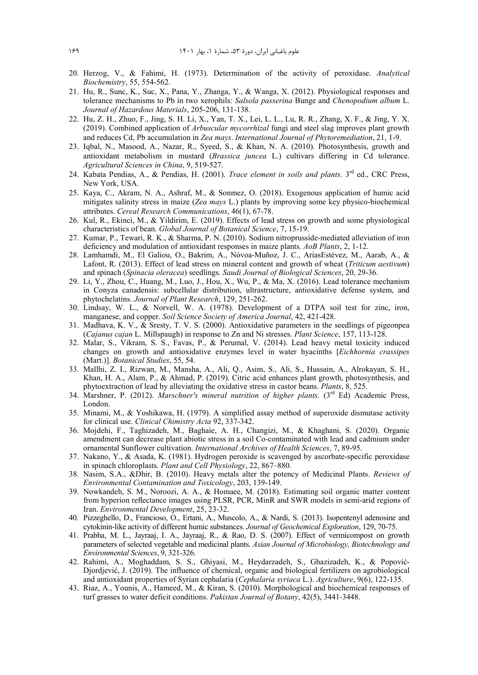- 20. Herzog, V., & Fahimi, H. (1973). Determination of the activity of peroxidase. *Analytical Biochemistry*, 55, 554-562.
- 21. Hu, R., Sunc, K., Suc, X., Pana, Y., Zhanga, Y., & Wanga, X. (2012). Physiological responses and tolerance mechanisms to Pb in two xerophils: *Salsola passerina* Bunge and *Chenopodium album* L. *Journal of Hazardous Materials*, 205-206, 131-138.
- 22. Hu, Z. H., Zhuo, F., Jing, S. H. Li, X., Yan, T. X., Lei, L. L., Lu, R. R., Zhang, X. F., & Jing, Y. X. (2019). Combined application of *Arbuscular mycorrhizal* fungi and steel slag improves plant growth and reduces Cd, Pb accumulation in *Zea mays*. *International Journal of Phytoremediation*, 21, 1-9.
- 23. Iqbal, N., Masood, A., Nazar, R., Syeed, S., & Khan, N. A. (2010). Photosynthesis, growth and antioxidant metabolism in mustard (*Brassica juncea* L.) cultivars differing in Cd tolerance. *Agricultural Sciences in China*, 9, 519-527.
- 24. Kabata Pendias, A., & Pendias, H. (2001). *Trace element in soils and plants*. 3rd ed., CRC Press, New York, USA.
- 25. Kaya, C., Akram, N. A., Ashraf, M., & Sonmez, O. (2018). Exogenous application of humic acid mitigates salinity stress in maize (*Zea mays* L.) plants by improving some key physico-biochemical attributes. *Cereal Research Communications*, 46(1), 67-78.
- 26. Kul, R., Ekinci, M., & Yildirim, E. (2019). Effects of lead stress on growth and some physiological characteristics of bean. *Global Journal of Botanical Science*, 7, 15-19.
- 27. Kumar, P., Tewari, R. K., & Sharma, P. N. (2010). Sodium nitroprusside-mediated alleviation of iron deficiency and modulation of antioxidant responses in maize plants. *AoB Plants*, 2, 1-12.
- 28. Lamhamdi, M., El Galiou, O., Bakrim, A., Nóvoa-Muñoz, J. C., AriasEstévez, M., Aarab, A., & Lafont, R. (2013). Effect of lead stress on mineral content and growth of wheat (*Triticum aestivum*) and spinach (*Spinacia oleracea*) seedlings. *Saudi Journal of Biological Sciences*, 20, 29-36.
- 29. Li, Y., Zhou, C., Huang, M., Luo, J., Hou, X., Wu, P., & Ma, X. (2016). Lead tolerance mechanism in Conyza canadensis: subcellular distribution, ultrastructure, antioxidative defense system, and phytochelatins. *Journal of Plant Research*, 129, 251-262.
- 30. Lindsay, W. L., & Norvell, W. A. (1978). Development of a DTPA soil test for zinc, iron, manganese, and copper. *Soil Science Society of America Journal*, 42, 421-428.
- 31. Madhava, K. V., & Sresty, T. V. S. (2000). Antioxidative parameters in the seedlings of pigeonpea (*Cajanus cajan* L. Millspaugh) in response to Zn and Ni stresses. *Plant Science*, 157, 113-128.
- 32. Malar, S., Vikram, S. S., Favas, P., & Perumal, V. (2014). Lead heavy metal toxicity induced changes on growth and antioxidative enzymes level in water hyacinths [*Eichhornia crassipes* (Mart.)]. *Botanical Studies*, 55, 54.
- 33. Mallhi, Z. I., Rizwan, M., Mansha, A., Ali, Q., Asim, S., Ali, S., Hussain, A., Alrokayan, S. H., Khan, H. A., Alam, P., & Ahmad, P. (2019). Citric acid enhances plant growth, photosynthesis, and phytoextraction of lead by alleviating the oxidative stress in castor beans. *Plants*, 8, 525.
- 34. Marshner, P. (2012). *Marschner's mineral nutrition of higher plants*. (3rd Ed) Academic Press, London.
- 35. Minami, M., & Yoshikawa, H. (1979). A simplified assay method of superoxide dismutase activity for clinical use. *Clinical Chimistry Acta* 92, 337-342.
- 36. Mojdehi, F., Taghizadeh, M., Baghaie, A. H., Changizi, M., & Khaghani, S. (2020). Organic amendment can decrease plant abiotic stress in a soil Co‑contaminated with lead and cadmium under ornamental Sunflower cultivation. *International Archives of Health Sciences*, 7, 89-95.
- 37. Nakano, Y., & Asada, K. (1981). Hydrogen peroxide is scavenged by ascorbate-specific peroxidase in spinach chloroplasts. *Plant and Cell Physiology*, 22, 867–880.
- 38. Nasim, S.A., &Dhir, B. (2010). Heavy metals alter the potency of Medicinal Plants. *Reviews of Environmental Contamination and Toxicology*, 203, 139-149.
- 39. Nowkandeh, S. M., Noroozi, A. A., & Homaee, M. (2018). Estimating soil organic matter content from hyperion reflectance images using PLSR, PCR, MinR and SWR models in semi-arid regions of Iran. *Environmental Development*, 25, 23-32.
- 40. Pizzeghello, D., Francioso, O., Ertani, A., Muscolo, A., & Nardi, S. (2013). Isopentenyl adenosine and cytokinin-like activity of different humic substances. *Journal of Geochemical Exploration*, 129, 70-75.
- 41. Prabha, M. L., Jayraaj, I. A., Jayraaj, R., & Rao, D. S. (2007). Effect of vermicompost on growth parameters of selected vegetable and medicinal plants. *Asian Journal of Microbiology, Biotechnology and Environmental Sciences*, 9, 321-326.
- 42. Rahimi, A., Moghaddam, S. S., Ghiyasi, M., Heydarzadeh, S., Ghazizadeh, K., & Popović-Djordjević, J. (2019). The influence of chemical, organic and biological fertilizers on agrobiological and antioxidant properties of Syrian cephalaria (*Cephalaria syriaca* L.). *Agriculture*, 9(6), 122-135.
- 43. Riaz, A., Younis, A., Hameed, M., & Kiran, S. (2010). Morphological and biochemical responses of turf grasses to water deficit conditions. *Pakistan Journal of Botany*, 42(5), 3441-3448.